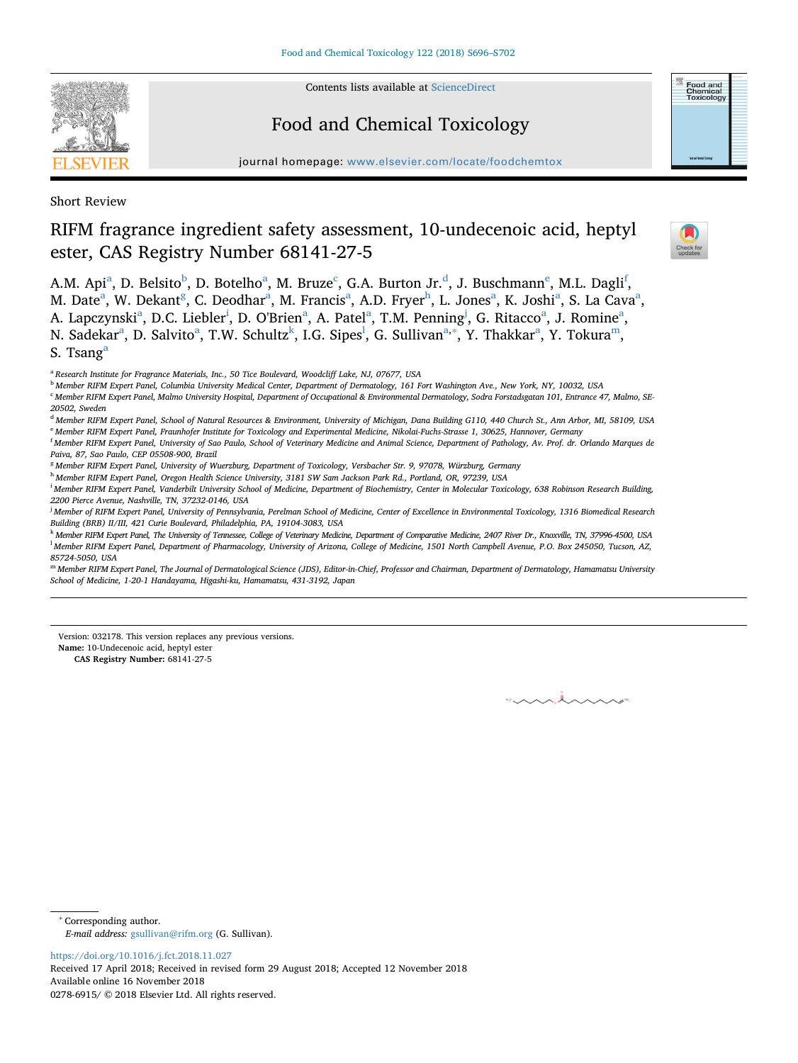

Contents lists available at [ScienceDirect](http://www.sciencedirect.com/science/journal/02786915)

# Food and Chemical Toxicology



journal homepage: [www.elsevier.com/locate/foodchemtox](https://www.elsevier.com/locate/foodchemtox)

Short Review

# RIFM fragrance ingredient safety assessment, 10-undecenoic acid, heptyl ester, CAS Registry Number 68141-27-5



A.M. Api<sup>[a](#page-0-0)</sup>, D. Belsito<sup>b</sup>, D. Botelho<sup>a</sup>, M. Bruze<sup>[c](#page-0-2)</sup>, G.A. Burton Jr.<sup>d</sup>, J. Buschmann<sup>[e](#page-0-4)</sup>, M.L. Dagli<sup>f</sup>, M. D[a](#page-0-0)te<sup>a</sup>, W. Dekant<sup>[g](#page-0-6)</sup>, C. Deodhar<sup>a</sup>, M. Francis<sup>a</sup>, A.D. Fryer<sup>h</sup>, L. Jones<sup>a</sup>, K. Joshi<sup>a</sup>, S. La Cava<sup>a</sup>, A. L[a](#page-0-0)pczynsk[i](#page-0-8)<sup>a</sup>, D.C. Liebler<sup>i</sup>, D. O'Brien<sup>a</sup>, A. Patel<sup>a</sup>, T.M. Penning<sup>[j](#page-0-9)</sup>, G. Ritacco<sup>a</sup>, J. Romine<sup>a</sup>, N. S[a](#page-0-0)dekar<sup>a</sup>, D. Salvito<sup>a</sup>, T.W. Schultz<sup>k</sup>, I.G. Sipes<sup>l</sup>, G. Sullivan<sup>a,</sup>\*, Y. Thakkar<sup>a</sup>, Y. Tokura<sup>m</sup>, S. Tsang<sup>a</sup>

<span id="page-0-0"></span><sup>a</sup> *Research Institute for Fragrance Materials, Inc., 50 Tice Boulevard, Woodcliff Lake, NJ, 07677, USA*

<span id="page-0-1"></span><sup>b</sup> *Member RIFM Expert Panel, Columbia University Medical Center, Department of Dermatology, 161 Fort Washington Ave., New York, NY, 10032, USA*

<span id="page-0-2"></span><sup>c</sup> *Member RIFM Expert Panel, Malmo University Hospital, Department of Occupational & Environmental Dermatology, Sodra Forstadsgatan 101, Entrance 47, Malmo, SE-20502, Sweden*

<span id="page-0-4"></span><span id="page-0-3"></span><sup>d</sup> *Member RIFM Expert Panel, School of Natural Resources & Environment, University of Michigan, Dana Building G110, 440 Church St., Ann Arbor, MI, 58109, USA* <sup>e</sup> *Member RIFM Expert Panel, Fraunhofer Institute for Toxicology and Experimental Medicine, Nikolai-Fuchs-Strasse 1, 30625, Hannover, Germany*

<span id="page-0-5"></span>f *Member RIFM Expert Panel, University of Sao Paulo, School of Veterinary Medicine and Animal Science, Department of Pathology, Av. Prof. dr. Orlando Marques de Paiva, 87, Sao Paulo, CEP 05508-900, Brazil*

<span id="page-0-6"></span><sup>g</sup> *Member RIFM Expert Panel, University of Wuerzburg, Department of Toxicology, Versbacher Str. 9, 97078, Würzburg, Germany*

<span id="page-0-7"></span><sup>h</sup> *Member RIFM Expert Panel, Oregon Health Science University, 3181 SW Sam Jackson Park Rd., Portland, OR, 97239, USA*

<span id="page-0-8"></span>i *Member RIFM Expert Panel, Vanderbilt University School of Medicine, Department of Biochemistry, Center in Molecular Toxicology, 638 Robinson Research Building, 2200 Pierce Avenue, Nashville, TN, 37232-0146, USA*

<span id="page-0-9"></span>j *Member of RIFM Expert Panel, University of Pennsylvania, Perelman School of Medicine, Center of Excellence in Environmental Toxicology, 1316 Biomedical Research Building (BRB) II/III, 421 Curie Boulevard, Philadelphia, PA, 19104-3083, USA*

<span id="page-0-11"></span><span id="page-0-10"></span><sup>k</sup> *Member RIFM Expert Panel, The University of Tennessee, College of Veterinary Medicine, Department of Comparative Medicine, 2407 River Dr., Knoxville, TN, 37996-4500, USA* l *Member RIFM Expert Panel, Department of Pharmacology, University of Arizona, College of Medicine, 1501 North Campbell Avenue, P.O. Box 245050, Tucson, AZ, 85724-5050, USA*

<span id="page-0-13"></span><sup>m</sup> *Member RIFM Expert Panel, The Journal of Dermatological Science (JDS), Editor-in-Chief, Professor and Chairman, Department of Dermatology, Hamamatsu University School of Medicine, 1-20-1 Handayama, Higashi-ku, Hamamatsu, 431-3192, Japan*

Version: 032178. This version replaces any previous versions. **Name:** 10-Undecenoic acid, heptyl ester **CAS Registry Number:** 68141-27-5



<span id="page-0-12"></span><sup>∗</sup> Corresponding author. *E-mail address:* [gsullivan@rifm.org](mailto:gsullivan@rifm.org) (G. Sullivan).

<https://doi.org/10.1016/j.fct.2018.11.027>

Received 17 April 2018; Received in revised form 29 August 2018; Accepted 12 November 2018 Available online 16 November 2018 0278-6915/ © 2018 Elsevier Ltd. All rights reserved.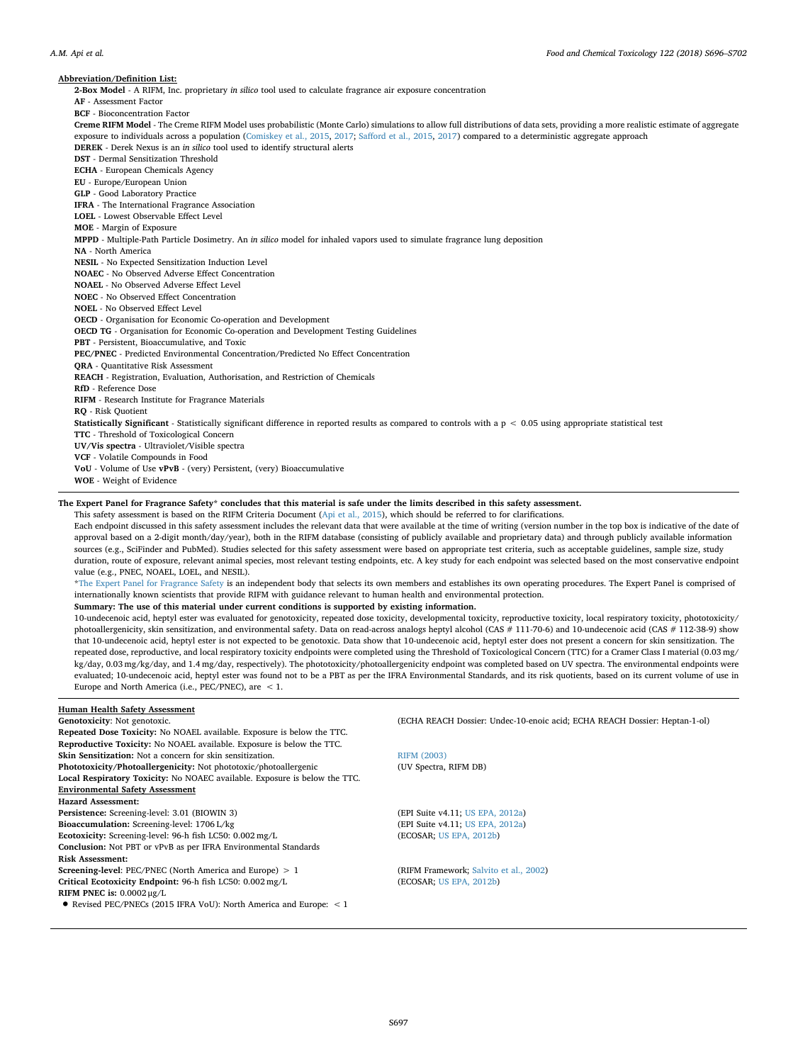**Abbreviation/Definition List: 2-Box Model** - A RIFM, Inc. proprietary *in silico* tool used to calculate fragrance air exposure concentration **AF** - Assessment Factor **BCF** - Bioconcentration Factor **Creme RIFM Model** - The Creme RIFM Model uses probabilistic (Monte Carlo) simulations to allow full distributions of data sets, providing a more realistic estimate of aggregate exposure to individuals across a population ([Comiskey et al., 2015,](#page-6-0) [2017](#page-6-1); [Safford et al., 2015,](#page-6-2) [2017](#page-6-3)) compared to a deterministic aggregate approach **DEREK** - Derek Nexus is an *in silico* tool used to identify structural alerts **DST** - Dermal Sensitization Threshold **ECHA** - European Chemicals Agency **EU** - Europe/European Union **GLP** - Good Laboratory Practice **IFRA** - The International Fragrance Association **LOEL** - Lowest Observable Effect Level **MOE** - Margin of Exposure **MPPD** - Multiple-Path Particle Dosimetry. An *in silico* model for inhaled vapors used to simulate fragrance lung deposition **NA** - North America **NESIL** - No Expected Sensitization Induction Level **NOAEC** - No Observed Adverse Effect Concentration **NOAEL** - No Observed Adverse Effect Level **NOEC** - No Observed Effect Concentration **NOEL** - No Observed Effect Level **OECD** - Organisation for Economic Co-operation and Development **OECD TG** - Organisation for Economic Co-operation and Development Testing Guidelines **PBT** - Persistent, Bioaccumulative, and Toxic **PEC/PNEC** - Predicted Environmental Concentration/Predicted No Effect Concentration **QRA** - Quantitative Risk Assessment **REACH** - Registration, Evaluation, Authorisation, and Restriction of Chemicals **RfD** - Reference Dose **RIFM** - Research Institute for Fragrance Materials **RQ** - Risk Quotient **Statistically Significant** - Statistically significant difference in reported results as compared to controls with a  $p < 0.05$  using appropriate statistical test **TTC** - Threshold of Toxicological Concern **UV/Vis spectra** - Ultraviolet/Visible spectra **VCF** - Volatile Compounds in Food **VoU** - Volume of Use **vPvB** - (very) Persistent, (very) Bioaccumulative **WOE** - Weight of Evidence

#### **The Expert Panel for Fragrance Safety\* concludes that this material is safe under the limits described in this safety assessment.**

This safety assessment is based on the RIFM Criteria Document ([Api et al., 2015](#page-6-4)), which should be referred to for clarifications.

Each endpoint discussed in this safety assessment includes the relevant data that were available at the time of writing (version number in the top box is indicative of the date of approval based on a 2-digit month/day/year), both in the RIFM database (consisting of publicly available and proprietary data) and through publicly available information sources (e.g., SciFinder and PubMed). Studies selected for this safety assessment were based on appropriate test criteria, such as acceptable guidelines, sample size, study duration, route of exposure, relevant animal species, most relevant testing endpoints, etc. A key study for each endpoint was selected based on the most conservative endpoint value (e.g., PNEC, NOAEL, LOEL, and NESIL).

\*[The Expert Panel for Fragrance Safety](http://fragrancesafetypanel.org/) is an independent body that selects its own members and establishes its own operating procedures. The Expert Panel is comprised of internationally known scientists that provide RIFM with guidance relevant to human health and environmental protection.

**Summary: The use of this material under current conditions is supported by existing information.**

10-undecenoic acid, heptyl ester was evaluated for genotoxicity, repeated dose toxicity, developmental toxicity, reproductive toxicity, local respiratory toxicity, phototoxicity/ photoallergenicity, skin sensitization, and environmental safety. Data on read-across analogs heptyl alcohol (CAS #111-70-6) and 10-undecenoic acid (CAS #112-38-9) show that 10-undecenoic acid, heptyl ester is not expected to be genotoxic. Data show that 10-undecenoic acid, heptyl ester does not present a concern for skin sensitization. The repeated dose, reproductive, and local respiratory toxicity endpoints were completed using the Threshold of Toxicological Concern (TTC) for a Cramer Class I material (0.03 mg/ kg/day, 0.03 mg/kg/day, and 1.4 mg/day, respectively). The phototoxicity/photoallergenicity endpoint was completed based on UV spectra. The environmental endpoints were evaluated; 10-undecenoic acid, heptyl ester was found not to be a PBT as per the IFRA Environmental Standards, and its risk quotients, based on its current volume of use in Europe and North America (i.e., PEC/PNEC), are < 1.

#### **Human Health Safety Assessment**

**Repeated Dose Toxicity:** No NOAEL available. Exposure is below the TTC. **Reproductive Toxicity:** No NOAEL available. Exposure is below the TTC. **Skin Sensitization:** Not a concern for skin sensitization. [RIFM \(2003\)](#page-6-5)<br> **Phototoxicity/Photoallergenicity:** Not phototoxic/photoallergenic (UV Spectra, RIFM DB) Phototoxicity/Photoallergenicity: Not phototoxic/photoallergenic **Local Respiratory Toxicity:** No NOAEC available. Exposure is below the TTC. **Environmental Safety Assessment Hazard Assessment: Persistence:** Screening-level: 3.01 (BIOWIN 3) (EPI Suite v4.11; [US EPA, 2012a](#page-6-6)) **Bioaccumulation:** Screening-level: 1706 L/kg (EPI Suite v4.11; [US EPA, 2012a](#page-6-6))<br> **Ecotoxicity:** Screening-level: 96-h fish LC50: 0.002 mg/L (ECOSAR; US EPA, 2012b) **Ecotoxicity:** Screening-level: 96-h fish LC50: 0.002 mg/L **Conclusion:** Not PBT or vPvB as per IFRA Environmental Standards **Risk Assessment: Screening-level:** PEC/PNEC (North America and Europe) > 1 (RIFM Framework; [Salvito et al., 2002\)](#page-6-8)<br> **Critical Ecotoxicity Endpoint:** 96-h fish LC50: 0.002 mg/L (ECOSAR; US EPA, 2012b) **Critical Ecotoxicity Endpoint:** 96-h fish LC50: 0.002 mg/L **RIFM PNEC is:** 0.0002 μg/L

• Revised PEC/PNECs (2015 IFRA VoU): North America and Europe: < 1

**Genotoxicity**: Not genotoxic. (ECHA REACH Dossier: Undec-10-enoic acid; ECHA REACH Dossier: Heptan-1-ol)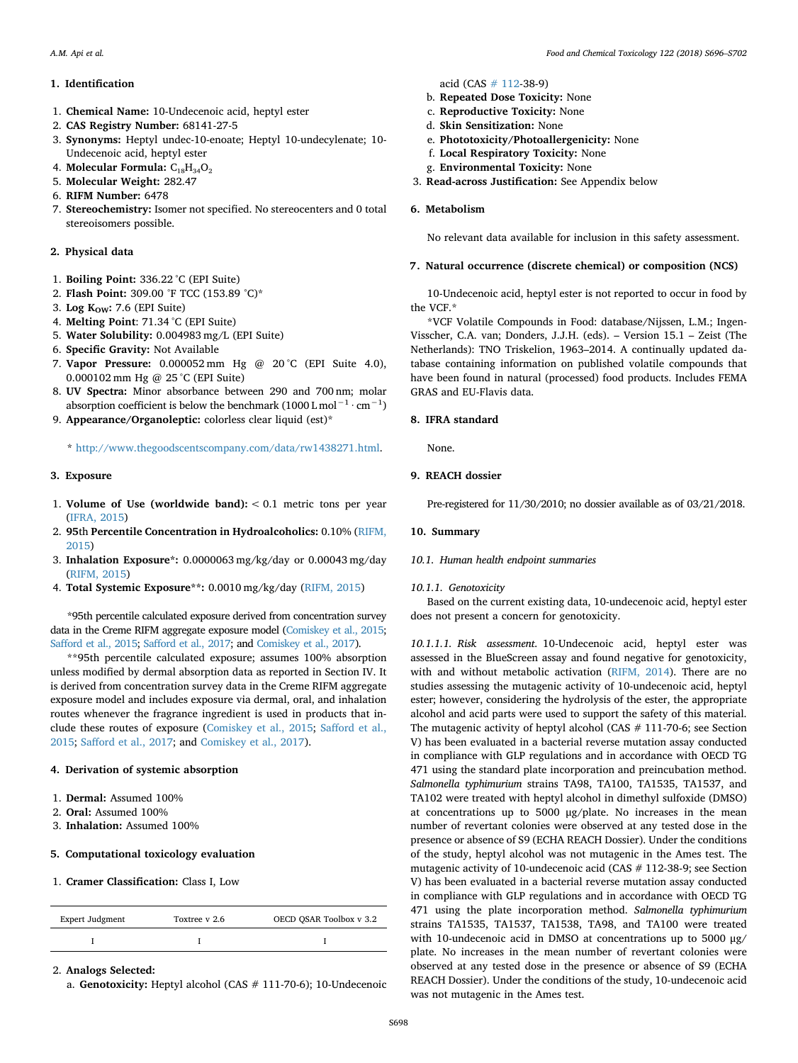# <span id="page-2-0"></span>**1. Identification**

- 1. **Chemical Name:** 10-Undecenoic acid, heptyl ester
- 2. **CAS Registry Number:** 68141-27-5
- 3. **Synonyms:** Heptyl undec-10-enoate; Heptyl 10-undecylenate; 10- Undecenoic acid, heptyl ester
- 4. **Molecular Formula:** C<sub>18</sub>H<sub>34</sub>O<sub>2</sub>
- 5. **Molecular Weight:** 282.47
- 6. **RIFM Number:** 6478
- 7. **Stereochemistry:** Isomer not specified. No stereocenters and 0 total stereoisomers possible.

# **2. Physical data**

- 1. **Boiling Point:** 336.22 °C (EPI Suite)
- 2. **Flash Point:** 309.00 °F TCC (153.89 °C)\*
- 3. Log K<sub>ow</sub>: 7.6 (EPI Suite)
- 4. **Melting Point**: 71.34 °C (EPI Suite)
- 5. **Water Solubility:** 0.004983 mg/L (EPI Suite)
- 6. **Specific Gravity:** Not Available
- 7. **Vapor Pressure:** 0.000052 mm Hg @ 20 °C (EPI Suite 4.0), 0.000102 mm Hg @ 25 °C (EPI Suite)
- 8. **UV Spectra:** Minor absorbance between 290 and 700 nm; molar absorption coefficient is below the benchmark (1000 L mol<sup>-1</sup> ⋅ cm<sup>-1</sup>)
- 9. **Appearance/Organoleptic:** colorless clear liquid (est)\*

\* [http://www.thegoodscentscompany.com/data/rw1438271.html.](http://www.thegoodscentscompany.com/data/rw1438271.html)

#### **3. Exposure**

- 1. **Volume of Use (worldwide band):** < 0.1 metric tons per year [\(IFRA, 2015\)](#page-6-9)
- 2. **95**th **Percentile Concentration in Hydroalcoholics:** 0.10% [\(RIFM,](#page-6-10) [2015](#page-6-10))
- 3. **Inhalation Exposure\*:** 0.0000063 mg/kg/day or 0.00043 mg/day [\(RIFM, 2015](#page-6-10))
- 4. **Total Systemic Exposure\*\*:** 0.0010 mg/kg/day [\(RIFM, 2015](#page-6-10))

\*95th percentile calculated exposure derived from concentration survey data in the Creme RIFM aggregate exposure model ([Comiskey et al., 2015](#page-6-0); [Safford et al., 2015;](#page-6-2) [Safford et al., 2017](#page-6-3); and [Comiskey et al., 2017\)](#page-6-1).

\*\*95th percentile calculated exposure; assumes 100% absorption unless modified by dermal absorption data as reported in Section IV. It is derived from concentration survey data in the Creme RIFM aggregate exposure model and includes exposure via dermal, oral, and inhalation routes whenever the fragrance ingredient is used in products that include these routes of exposure [\(Comiskey et al., 2015;](#page-6-0) [Safford et al.,](#page-6-2) [2015;](#page-6-2) [Safford et al., 2017](#page-6-3); and [Comiskey et al., 2017](#page-6-1)).

# **4. Derivation of systemic absorption**

- 1. **Dermal:** Assumed 100%
- 2. **Oral:** Assumed 100%
- 3. **Inhalation:** Assumed 100%

#### **5. Computational toxicology evaluation**

1. **Cramer Classification:** Class I, Low

| Expert Judgment | Toxtree v 2.6 | OECD QSAR Toolbox v 3.2 |
|-----------------|---------------|-------------------------|
|                 |               |                         |

2. **Analogs Selected:**

a. **Genotoxicity:** Heptyl alcohol (CAS # 111-70-6); 10-Undecenoic

# acid (CAS [# 112-](http://rifmdatabase.rifm.org/RifmDatabase/Studies/112)38-9)

- b. **Repeated Dose Toxicity:** None
- c. **Reproductive Toxicity:** None
- d. **Skin Sensitization:** None
- e. **Phototoxicity/Photoallergenicity:** None
- f. **Local Respiratory Toxicity:** None
- g. **Environmental Toxicity:** None
- 3. **Read-across Justification:** See Appendix below

# **6. Metabolism**

No relevant data available for inclusion in this safety assessment.

# **7. Natural occurrence (discrete chemical) or composition (NCS)**

10-Undecenoic acid, heptyl ester is not reported to occur in food by the VCF.\*

\*VCF Volatile Compounds in Food: database/Nijssen, L.M.; Ingen-Visscher, C.A. van; Donders, J.J.H. (eds). – Version 15.1 – Zeist (The Netherlands): TNO Triskelion, 1963–2014. A continually updated database containing information on published volatile compounds that have been found in natural (processed) food products. Includes FEMA GRAS and EU-Flavis data.

# **8. IFRA standard**

None.

# **9. REACH dossier**

Pre-registered for 11/30/2010; no dossier available as of 03/21/2018.

# **10. Summary**

# *10.1. Human health endpoint summaries*

#### *10.1.1. Genotoxicity*

Based on the current existing data, 10-undecenoic acid, heptyl ester does not present a concern for genotoxicity.

*10.1.1.1. Risk assessment*. 10-Undecenoic acid, heptyl ester was assessed in the BlueScreen assay and found negative for genotoxicity, with and without metabolic activation [\(RIFM, 2014\)](#page-6-11). There are no studies assessing the mutagenic activity of 10-undecenoic acid, heptyl ester; however, considering the hydrolysis of the ester, the appropriate alcohol and acid parts were used to support the safety of this material. The mutagenic activity of heptyl alcohol (CAS # 111-70-6; see Section V) has been evaluated in a bacterial reverse mutation assay conducted in compliance with GLP regulations and in accordance with OECD TG 471 using the standard plate incorporation and preincubation method. *Salmonella typhimurium* strains TA98, TA100, TA1535, TA1537, and TA102 were treated with heptyl alcohol in dimethyl sulfoxide (DMSO) at concentrations up to 5000 μg/plate. No increases in the mean number of revertant colonies were observed at any tested dose in the presence or absence of S9 (ECHA REACH Dossier). Under the conditions of the study, heptyl alcohol was not mutagenic in the Ames test. The mutagenic activity of 10-undecenoic acid (CAS # 112-38-9; see Section V) has been evaluated in a bacterial reverse mutation assay conducted in compliance with GLP regulations and in accordance with OECD TG 471 using the plate incorporation method. *Salmonella typhimurium* strains TA1535, TA1537, TA1538, TA98, and TA100 were treated with 10-undecenoic acid in DMSO at concentrations up to 5000 μg/ plate. No increases in the mean number of revertant colonies were observed at any tested dose in the presence or absence of S9 (ECHA REACH Dossier). Under the conditions of the study, 10-undecenoic acid was not mutagenic in the Ames test.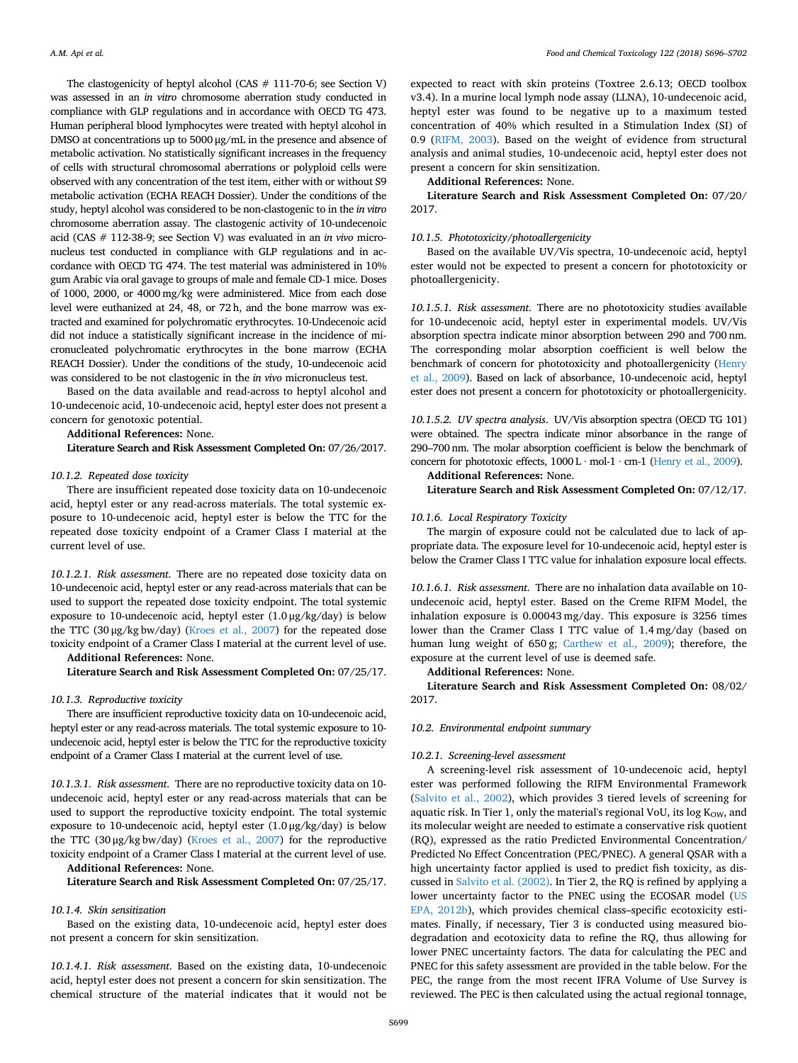The clastogenicity of heptyl alcohol (CAS # 111-70-6; see Section V) was assessed in an *in vitro* chromosome aberration study conducted in compliance with GLP regulations and in accordance with OECD TG 473. Human peripheral blood lymphocytes were treated with heptyl alcohol in DMSO at concentrations up to 5000 μg/mL in the presence and absence of metabolic activation. No statistically significant increases in the frequency of cells with structural chromosomal aberrations or polyploid cells were observed with any concentration of the test item, either with or without S9 metabolic activation (ECHA REACH Dossier). Under the conditions of the study, heptyl alcohol was considered to be non-clastogenic to in the *in vitro* chromosome aberration assay. The clastogenic activity of 10-undecenoic acid (CAS # 112-38-9; see Section V) was evaluated in an *in vivo* micronucleus test conducted in compliance with GLP regulations and in accordance with OECD TG 474. The test material was administered in 10% gum Arabic via oral gavage to groups of male and female CD-1 mice. Doses of 1000, 2000, or 4000 mg/kg were administered. Mice from each dose level were euthanized at 24, 48, or 72 h, and the bone marrow was extracted and examined for polychromatic erythrocytes. 10-Undecenoic acid did not induce a statistically significant increase in the incidence of micronucleated polychromatic erythrocytes in the bone marrow (ECHA REACH Dossier). Under the conditions of the study, 10-undecenoic acid was considered to be not clastogenic in the *in vivo* micronucleus test.

Based on the data available and read-across to heptyl alcohol and 10-undecenoic acid, 10-undecenoic acid, heptyl ester does not present a concern for genotoxic potential.

**Additional References:** None.

**Literature Search and Risk Assessment Completed On:** 07/26/2017.

#### *10.1.2. Repeated dose toxicity*

There are insufficient repeated dose toxicity data on 10-undecenoic acid, heptyl ester or any read-across materials. The total systemic exposure to 10-undecenoic acid, heptyl ester is below the TTC for the repeated dose toxicity endpoint of a Cramer Class I material at the current level of use.

*10.1.2.1. Risk assessment*. There are no repeated dose toxicity data on 10-undecenoic acid, heptyl ester or any read-across materials that can be used to support the repeated dose toxicity endpoint. The total systemic exposure to 10-undecenoic acid, heptyl ester (1.0 μg/kg/day) is below the TTC (30 μg/kg bw/day) [\(Kroes et al., 2007\)](#page-6-12) for the repeated dose toxicity endpoint of a Cramer Class I material at the current level of use.

**Additional References:** None.

**Literature Search and Risk Assessment Completed On:** 07/25/17.

#### *10.1.3. Reproductive toxicity*

There are insufficient reproductive toxicity data on 10-undecenoic acid, heptyl ester or any read-across materials. The total systemic exposure to 10 undecenoic acid, heptyl ester is below the TTC for the reproductive toxicity endpoint of a Cramer Class I material at the current level of use.

*10.1.3.1. Risk assessment*. There are no reproductive toxicity data on 10 undecenoic acid, heptyl ester or any read-across materials that can be used to support the reproductive toxicity endpoint. The total systemic exposure to 10-undecenoic acid, heptyl ester (1.0 μg/kg/day) is below the TTC (30 μg/kg bw/day) [\(Kroes et al., 2007\)](#page-6-12) for the reproductive toxicity endpoint of a Cramer Class I material at the current level of use. **Additional References:** None.

**Literature Search and Risk Assessment Completed On:** 07/25/17.

# *10.1.4. Skin sensitization*

Based on the existing data, 10-undecenoic acid, heptyl ester does not present a concern for skin sensitization.

*10.1.4.1. Risk assessment*. Based on the existing data, 10-undecenoic acid, heptyl ester does not present a concern for skin sensitization. The chemical structure of the material indicates that it would not be

expected to react with skin proteins (Toxtree 2.6.13; OECD toolbox v3.4). In a murine local lymph node assay (LLNA), 10-undecenoic acid, heptyl ester was found to be negative up to a maximum tested concentration of 40% which resulted in a Stimulation Index (SI) of 0.9 ([RIFM, 2003\)](#page-6-5). Based on the weight of evidence from structural analysis and animal studies, 10-undecenoic acid, heptyl ester does not present a concern for skin sensitization.

# **Additional References:** None.

**Literature Search and Risk Assessment Completed On:** 07/20/ 2017.

# *10.1.5. Phototoxicity/photoallergenicity*

Based on the available UV/Vis spectra, 10-undecenoic acid, heptyl ester would not be expected to present a concern for phototoxicity or photoallergenicity.

*10.1.5.1. Risk assessment*. There are no phototoxicity studies available for 10-undecenoic acid, heptyl ester in experimental models. UV/Vis absorption spectra indicate minor absorption between 290 and 700 nm. The corresponding molar absorption coefficient is well below the benchmark of concern for phototoxicity and photoallergenicity [\(Henry](#page-6-13) [et al., 2009\)](#page-6-13). Based on lack of absorbance, 10-undecenoic acid, heptyl ester does not present a concern for phototoxicity or photoallergenicity.

*10.1.5.2. UV spectra analysis*. UV/Vis absorption spectra (OECD TG 101) were obtained. The spectra indicate minor absorbance in the range of 290–700 nm. The molar absorption coefficient is below the benchmark of concern for phototoxic effects, 1000 L ∙ mol-1 ∙ cm-1 [\(Henry et al., 2009\)](#page-6-13).

**Additional References:** None.

**Literature Search and Risk Assessment Completed On:** 07/12/17.

#### *10.1.6. Local Respiratory Toxicity*

The margin of exposure could not be calculated due to lack of appropriate data. The exposure level for 10-undecenoic acid, heptyl ester is below the Cramer Class I TTC value for inhalation exposure local effects.

*10.1.6.1. Risk assessment*. There are no inhalation data available on 10 undecenoic acid, heptyl ester. Based on the Creme RIFM Model, the inhalation exposure is 0.00043 mg/day. This exposure is 3256 times lower than the Cramer Class I TTC value of 1.4 mg/day (based on human lung weight of 650 g; [Carthew et al., 2009](#page-6-14)); therefore, the exposure at the current level of use is deemed safe.

# **Additional References:** None.

**Literature Search and Risk Assessment Completed On:** 08/02/ 2017.

#### *10.2. Environmental endpoint summary*

#### *10.2.1. Screening-level assessment*

A screening-level risk assessment of 10-undecenoic acid, heptyl ester was performed following the RIFM Environmental Framework ([Salvito et al., 2002](#page-6-8)), which provides 3 tiered levels of screening for aquatic risk. In Tier 1, only the material's regional VoU, its log  $K_{OW}$ , and its molecular weight are needed to estimate a conservative risk quotient (RQ), expressed as the ratio Predicted Environmental Concentration/ Predicted No Effect Concentration (PEC/PNEC). A general QSAR with a high uncertainty factor applied is used to predict fish toxicity, as discussed in [Salvito et al. \(2002\)](#page-6-8). In Tier 2, the RQ is refined by applying a lower uncertainty factor to the PNEC using the ECOSAR model ([US](#page-6-7) [EPA, 2012b](#page-6-7)), which provides chemical class–specific ecotoxicity estimates. Finally, if necessary, Tier 3 is conducted using measured biodegradation and ecotoxicity data to refine the RQ, thus allowing for lower PNEC uncertainty factors. The data for calculating the PEC and PNEC for this safety assessment are provided in the table below. For the PEC, the range from the most recent IFRA Volume of Use Survey is reviewed. The PEC is then calculated using the actual regional tonnage,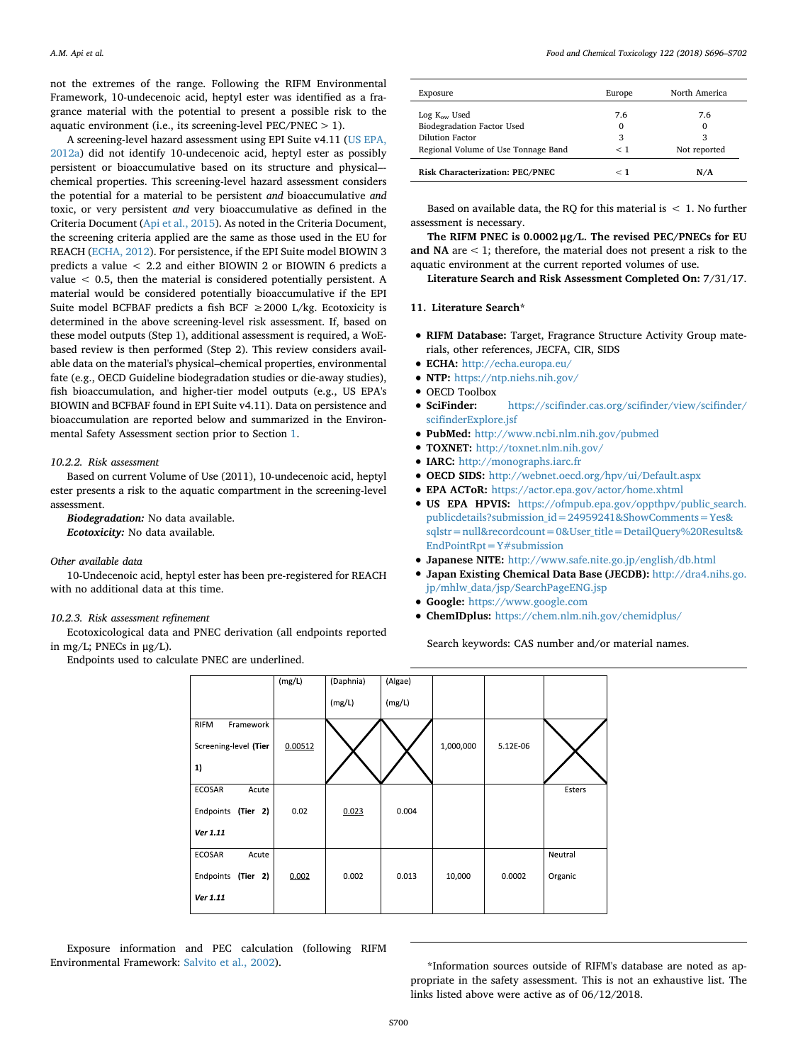not the extremes of the range. Following the RIFM Environmental Framework, 10-undecenoic acid, heptyl ester was identified as a fragrance material with the potential to present a possible risk to the aquatic environment (i.e., its screening-level PEC/PNEC > 1).

A screening-level hazard assessment using EPI Suite v4.11 ([US EPA,](#page-6-6) [2012a\)](#page-6-6) did not identify 10-undecenoic acid, heptyl ester as possibly persistent or bioaccumulative based on its structure and physical– chemical properties. This screening-level hazard assessment considers the potential for a material to be persistent *and* bioaccumulative *and* toxic, or very persistent *and* very bioaccumulative as defined in the Criteria Document [\(Api et al., 2015](#page-6-4)). As noted in the Criteria Document, the screening criteria applied are the same as those used in the EU for REACH ([ECHA, 2012\)](#page-6-15). For persistence, if the EPI Suite model BIOWIN 3 predicts a value < 2.2 and either BIOWIN 2 or BIOWIN 6 predicts a value < 0.5, then the material is considered potentially persistent. A material would be considered potentially bioaccumulative if the EPI Suite model BCFBAF predicts a fish BCF  $\geq$  2000 L/kg. Ecotoxicity is determined in the above screening-level risk assessment. If, based on these model outputs (Step 1), additional assessment is required, a WoEbased review is then performed (Step 2). This review considers available data on the material's physical–chemical properties, environmental fate (e.g., OECD Guideline biodegradation studies or die-away studies), fish bioaccumulation, and higher-tier model outputs (e.g., US EPA's BIOWIN and BCFBAF found in EPI Suite v4.11). Data on persistence and bioaccumulation are reported below and summarized in the Environmental Safety Assessment section prior to Section [1.](#page-2-0)

#### *10.2.2. Risk assessment*

Based on current Volume of Use (2011), 10-undecenoic acid, heptyl ester presents a risk to the aquatic compartment in the screening-level assessment.

*Biodegradation:* No data available. *Ecotoxicity:* No data available.

#### *Other available data*

10-Undecenoic acid, heptyl ester has been pre-registered for REACH with no additional data at this time.

# *10.2.3. Risk assessment refinement*

Ecotoxicological data and PNEC derivation (all endpoints reported in mg/L; PNECs in μg/L).

Endpoints used to calculate PNEC are underlined.

| Exposure                            | Europe | North America |  |
|-------------------------------------|--------|---------------|--|
| $Log K_{ow}$ Used                   | 7.6    | 7.6           |  |
| Biodegradation Factor Used          | 0      | 0             |  |
| Dilution Factor                     | 3      | 3             |  |
| Regional Volume of Use Tonnage Band | < 1    | Not reported  |  |
| Risk Characterization: PEC/PNEC     | - 1    | N/A           |  |

Based on available data, the RQ for this material is  $\leq 1$ . No further assessment is necessary.

**The RIFM PNEC is 0.0002 μg/L. The revised PEC/PNECs for EU and NA** are < 1; therefore, the material does not present a risk to the aquatic environment at the current reported volumes of use.

**Literature Search and Risk Assessment Completed On:** 7/31/17.

# **11. Literature Search\***

- **RIFM Database:** Target, Fragrance Structure Activity Group materials, other references, JECFA, CIR, SIDS
- **ECHA:** <http://echa.europa.eu/>
- **NTP:** <https://ntp.niehs.nih.gov/>
- OECD Toolbox<br>• SciFinder:
- **SciFinder:** [https://scifinder.cas.org/scifinder/view/scifinder/](https://scifinder.cas.org/scifinder/view/scifinder/scifinderExplore.jsf) [scifinderExplore.jsf](https://scifinder.cas.org/scifinder/view/scifinder/scifinderExplore.jsf)
- **PubMed:** <http://www.ncbi.nlm.nih.gov/pubmed>
- **TOXNET:** <http://toxnet.nlm.nih.gov/>
- **IARC:** [http://monographs.iarc.fr](http://monographs.iarc.fr/)
- **OECD SIDS:** <http://webnet.oecd.org/hpv/ui/Default.aspx>
- **EPA ACToR:** <https://actor.epa.gov/actor/home.xhtml>
- **US EPA HPVIS:** [https://ofmpub.epa.gov/oppthpv/public\\_search.](https://ofmpub.epa.gov/oppthpv/public_search.publicdetails?submission_id=24959241&ShowComments=Yes&sqlstr=null&recordcount=0&User_title=DetailQuery%20Results&EndPointRpt=Y) [publicdetails?submission\\_id=24959241&ShowComments=Yes&](https://ofmpub.epa.gov/oppthpv/public_search.publicdetails?submission_id=24959241&ShowComments=Yes&sqlstr=null&recordcount=0&User_title=DetailQuery%20Results&EndPointRpt=Y) [sqlstr=null&recordcount=0&User\\_title=DetailQuery%20Results&](https://ofmpub.epa.gov/oppthpv/public_search.publicdetails?submission_id=24959241&ShowComments=Yes&sqlstr=null&recordcount=0&User_title=DetailQuery%20Results&EndPointRpt=Y)  $EndPointRpt = Y#submission$
- **Japanese NITE:** <http://www.safe.nite.go.jp/english/db.html>
- **Japan Existing Chemical Data Base (JECDB):** [http://dra4.nihs.go.](http://dra4.nihs.go.jp/mhlw_data/jsp/SearchPageENG.jsp) [jp/mhlw\\_data/jsp/SearchPageENG.jsp](http://dra4.nihs.go.jp/mhlw_data/jsp/SearchPageENG.jsp)
- **Google:** [https://www.google.com](https://www.google.com/webhp?tab=ww&ei=KMSoUpiQK-arsQS324GwBg&ved=0CBQQ1S4)
- **ChemIDplus:** <https://chem.nlm.nih.gov/chemidplus/>

Search keywords: CAS number and/or material names.

|                          | (mg/L)  | (Daphnia) | (Algae) |           |          |         |
|--------------------------|---------|-----------|---------|-----------|----------|---------|
|                          |         | (mg/L)    | (mg/L)  |           |          |         |
| Framework<br><b>RIFM</b> |         |           |         |           |          |         |
| Screening-level (Tier    | 0.00512 |           |         | 1,000,000 | 5.12E-06 |         |
| 1)                       |         |           |         |           |          |         |
| ECOSAR<br>Acute          |         |           |         |           |          | Esters  |
| Endpoints<br>(Tier 2)    | 0.02    | 0.023     | 0.004   |           |          |         |
| Ver 1.11                 |         |           |         |           |          |         |
| <b>ECOSAR</b><br>Acute   |         |           |         |           |          | Neutral |
| Endpoints<br>(Tier 2)    | 0.002   | 0.002     | 0.013   | 10,000    | 0.0002   | Organic |
| Ver 1.11                 |         |           |         |           |          |         |

Exposure information and PEC calculation (following RIFM Environmental Framework: [Salvito et al., 2002](#page-6-8)).

\*Information sources outside of RIFM's database are noted as appropriate in the safety assessment. This is not an exhaustive list. The links listed above were active as of 06/12/2018.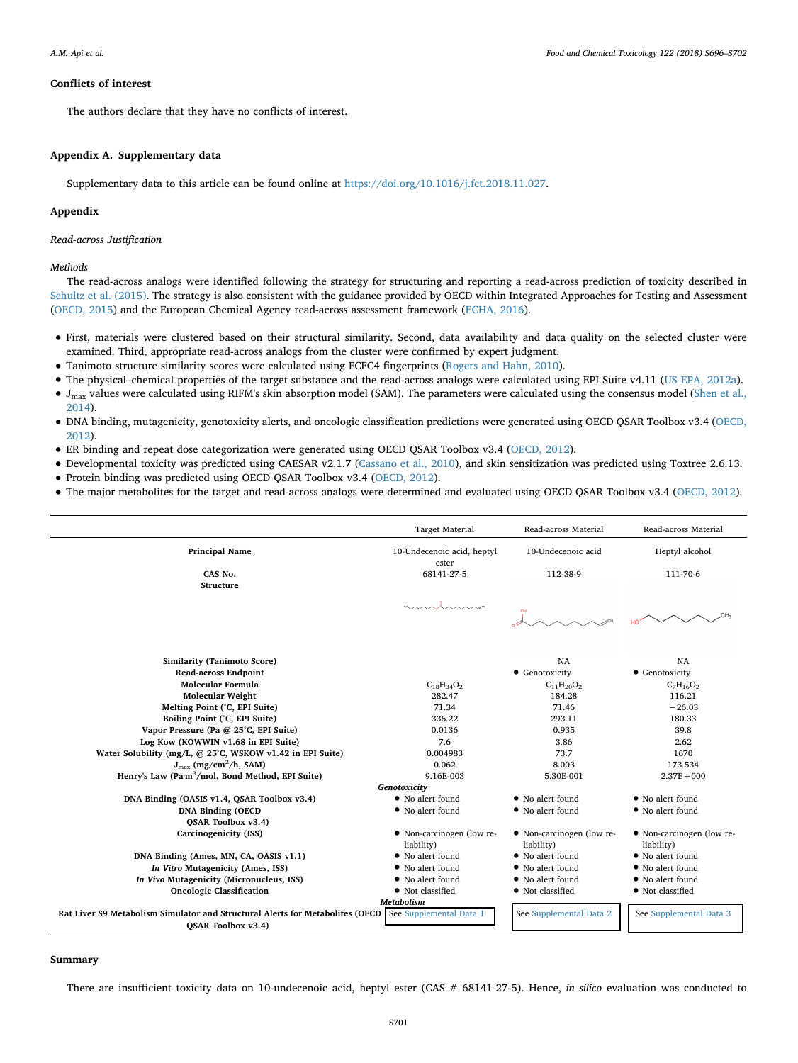#### **Conflicts of interest**

The authors declare that they have no conflicts of interest.

#### **Appendix A. Supplementary data**

Supplementary data to this article can be found online at [https://doi.org/10.1016/j.fct.2018.11.027.](https://doi.org/10.1016/j.fct.2018.11.027)

#### **Appendix**

#### *Read-across Justification*

*Methods*

The read-across analogs were identified following the strategy for structuring and reporting a read-across prediction of toxicity described in [Schultz et al. \(2015\)](#page-6-16). The strategy is also consistent with the guidance provided by OECD within Integrated Approaches for Testing and Assessment ([OECD, 2015](#page-6-17)) and the European Chemical Agency read-across assessment framework ([ECHA, 2016](#page-6-18)).

- First, materials were clustered based on their structural similarity. Second, data availability and data quality on the selected cluster were examined. Third, appropriate read-across analogs from the cluster were confirmed by expert judgment.
- Tanimoto structure similarity scores were calculated using FCFC4 fingerprints ([Rogers and Hahn, 2010](#page-6-19)).
- The physical–chemical properties of the target substance and the read-across analogs were calculated using EPI Suite v4.11 ([US EPA, 2012a\)](#page-6-6).
- $\bullet$  J<sub>max</sub> values were calculated using RIFM's skin absorption model (SAM). The parameters were calculated using the consensus model [\(Shen et al.,](#page-6-20) [2014](#page-6-20)).
- DNA binding, mutagenicity, genotoxicity alerts, and oncologic classification predictions were generated using OECD QSAR Toolbox v3.4 [\(OECD,](#page-6-21) [2012](#page-6-21)).
- ER binding and repeat dose categorization were generated using OECD QSAR Toolbox v3.4 [\(OECD, 2012](#page-6-21)).
- Developmental toxicity was predicted using CAESAR v2.1.7 ([Cassano et al., 2010\)](#page-6-22), and skin sensitization was predicted using Toxtree 2.6.13. • Protein binding was predicted using OECD QSAR Toolbox v3.4 [\(OECD, 2012\)](#page-6-21).
- The major metabolites for the target and read-across analogs were determined and evaluated using OECD QSAR Toolbox v3.4 [\(OECD, 2012](#page-6-21)).

|                                                                                                            | <b>Target Material</b>                  | Read-across Material                    | Read-across Material                    |  |  |  |  |
|------------------------------------------------------------------------------------------------------------|-----------------------------------------|-----------------------------------------|-----------------------------------------|--|--|--|--|
| <b>Principal Name</b>                                                                                      | 10-Undecenoic acid, heptyl              | 10-Undecenoic acid                      | Heptyl alcohol                          |  |  |  |  |
|                                                                                                            | ester                                   |                                         |                                         |  |  |  |  |
| CAS No.                                                                                                    | 68141-27-5                              | 112-38-9                                | 111-70-6                                |  |  |  |  |
| <b>Structure</b>                                                                                           |                                         |                                         |                                         |  |  |  |  |
|                                                                                                            |                                         |                                         |                                         |  |  |  |  |
|                                                                                                            |                                         |                                         |                                         |  |  |  |  |
|                                                                                                            |                                         |                                         |                                         |  |  |  |  |
| <b>Similarity (Tanimoto Score)</b>                                                                         |                                         | <b>NA</b>                               | <b>NA</b>                               |  |  |  |  |
| Read-across Endpoint                                                                                       |                                         | • Genotoxicity                          | $\bullet$ Genotoxicity                  |  |  |  |  |
| <b>Molecular Formula</b>                                                                                   | $C_{18}H_{34}O_2$                       | $C_{11}H_{20}O_2$                       | $C_7H_{16}O_2$                          |  |  |  |  |
| <b>Molecular Weight</b>                                                                                    | 282.47                                  | 184.28                                  | 116.21                                  |  |  |  |  |
| Melting Point (°C, EPI Suite)                                                                              | 71.34                                   | 71.46                                   | $-26.03$                                |  |  |  |  |
| Boiling Point (°C, EPI Suite)                                                                              | 336.22                                  | 293.11                                  | 180.33                                  |  |  |  |  |
| Vapor Pressure (Pa @ 25°C, EPI Suite)                                                                      | 0.0136                                  | 0.935                                   | 39.8                                    |  |  |  |  |
| Log Kow (KOWWIN v1.68 in EPI Suite)                                                                        | 7.6                                     | 3.86                                    | 2.62                                    |  |  |  |  |
| Water Solubility (mg/L, @ 25°C, WSKOW v1.42 in EPI Suite)                                                  | 0.004983                                | 73.7                                    | 1670                                    |  |  |  |  |
| $J_{max}$ (mg/cm <sup>2</sup> /h, SAM)                                                                     | 0.062                                   | 8.003                                   | 173.534                                 |  |  |  |  |
| Henry's Law (Pam <sup>3</sup> /mol, Bond Method, EPI Suite)                                                | 9.16E-003                               | 5.30E-001                               | $2.37E + 000$                           |  |  |  |  |
|                                                                                                            | Genotoxicity                            |                                         |                                         |  |  |  |  |
| DNA Binding (OASIS v1.4, QSAR Toolbox v3.4)                                                                | • No alert found                        | • No alert found                        | • No alert found                        |  |  |  |  |
| <b>DNA Binding (OECD</b>                                                                                   | • No alert found                        | • No alert found                        | • No alert found                        |  |  |  |  |
| <b>OSAR Toolbox v3.4)</b>                                                                                  |                                         |                                         |                                         |  |  |  |  |
| Carcinogenicity (ISS)                                                                                      | • Non-carcinogen (low re-<br>liability) | • Non-carcinogen (low re-<br>liability) | • Non-carcinogen (low re-<br>liability) |  |  |  |  |
| DNA Binding (Ames, MN, CA, OASIS v1.1)                                                                     | • No alert found                        | • No alert found                        | • No alert found                        |  |  |  |  |
| In Vitro Mutagenicity (Ames, ISS)                                                                          | • No alert found                        | • No alert found                        | • No alert found                        |  |  |  |  |
| In Vivo Mutagenicity (Micronucleus, ISS)                                                                   | • No alert found                        | • No alert found                        | • No alert found                        |  |  |  |  |
| <b>Oncologic Classification</b>                                                                            | • Not classified                        | • Not classified                        | • Not classified                        |  |  |  |  |
| <b>Metabolism</b>                                                                                          |                                         |                                         |                                         |  |  |  |  |
| Rat Liver S9 Metabolism Simulator and Structural Alerts for Metabolites (OECD<br><b>OSAR Toolbox v3.4)</b> | See Supplemental Data 1                 | See Supplemental Data 2                 | See Supplemental Data 3                 |  |  |  |  |

#### **Summary**

There are insufficient toxicity data on 10-undecenoic acid, heptyl ester (CAS # 68141-27-5). Hence, *in silico* evaluation was conducted to